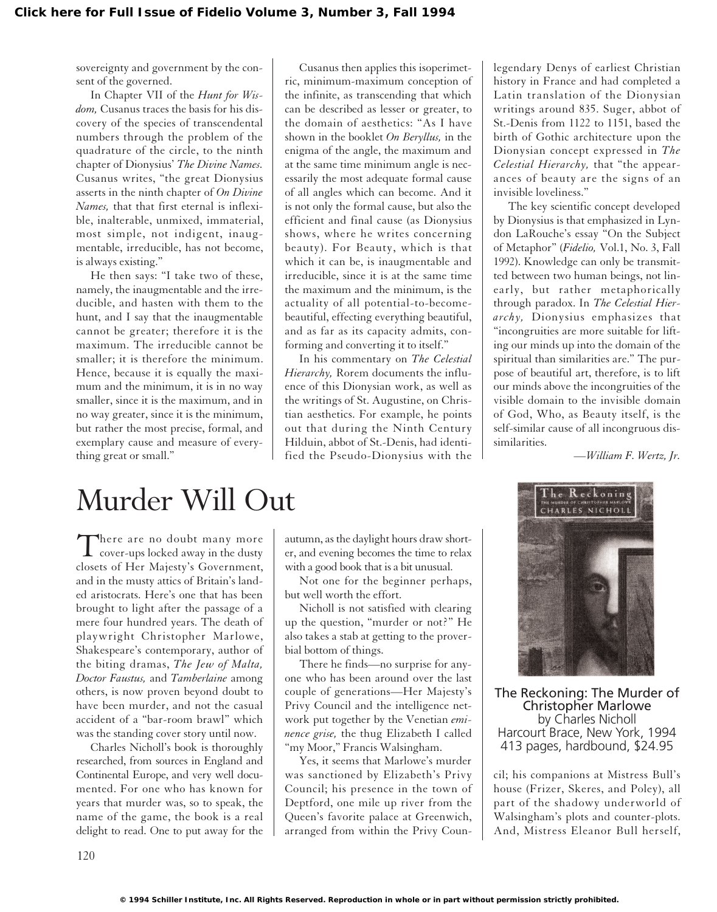sovereignty and government by the consent of the governed.

In Chapter VII of the *Hunt for Wisdom,* Cusanus traces the basis for his discovery of the species of transcendental numbers through the problem of the quadrature of the circle, to the ninth chapter of Dionysius' *The Divine Names.* Cusanus writes, "the great Dionysius asserts in the ninth chapter of *On Divine Names,* that that first eternal is inflexible, inalterable, unmixed, immaterial, most simple, not indigent, inaugmentable, irreducible, has not become, is always existing."

He then says: "I take two of these, namely, the inaugmentable and the irreducible, and hasten with them to the hunt, and I say that the inaugmentable cannot be greater; therefore it is the maximum. The irreducible cannot be smaller; it is therefore the minimum. Hence, because it is equally the maximum and the minimum, it is in no way smaller, since it is the maximum, and in no way greater, since it is the minimum, but rather the most precise, formal, and exemplary cause and measure of everything great or small."

Cusanus then applies this isoperimetric, minimum-maximum conception of the infinite, as transcending that which can be described as lesser or greater, to the domain of aesthetics: "As I have shown in the booklet *On Beryllus,* in the enigma of the angle, the maximum and at the same time minimum angle is necessarily the most adequate formal cause of all angles which can become. And it is not only the formal cause, but also the efficient and final cause (as Dionysius shows, where he writes concerning beauty). For Beauty, which is that which it can be, is inaugmentable and irreducible, since it is at the same time the maximum and the minimum, is the actuality of all potential-to-becomebeautiful, effecting everything beautiful, and as far as its capacity admits, conforming and converting it to itself."

In his commentary on *The Celestial Hierarchy,* Rorem documents the influence of this Dionysian work, as well as the writings of St. Augustine, on Christian aesthetics. For example, he points out that during the Ninth Century Hilduin, abbot of St.-Denis, had identified the Pseudo-Dionysius with the legendary Denys of earliest Christian history in France and had completed a Latin translation of the Dionysian writings around 835. Suger, abbot of St.-Denis from 1122 to 1151, based the birth of Gothic architecture upon the Dionysian concept expressed in *The Celestial Hierarchy,* that "the appearances of beauty are the signs of an invisible loveliness."

The key scientific concept developed by Dionysius is that emphasized in Lyndon LaRouche's essay "On the Subject of Metaphor" (*Fidelio,* Vol.1, No. 3, Fall 1992). Knowledge can only be transmitted between two human beings, not linearly, but rather metaphorically through paradox. In *The Celestial Hierarchy,* Dionysius emphasizes that "incongruities are more suitable for lifting our minds up into the domain of the spiritual than similarities are." The purpose of beautiful art, therefore, is to lift our minds above the incongruities of the visible domain to the invisible domain of God, Who, as Beauty itself, is the self-similar cause of all incongruous dissimilarities.

*—William F. Wertz, Jr.*

## Murder Will Out

There are no doubt many more<br>cover-ups locked away in the dusty closets of Her Majesty's Government, and in the musty attics of Britain's landed aristocrats. Here's one that has been brought to light after the passage of a mere four hundred years. The death of playwright Christopher Marlowe, Shakespeare's contemporary, author of the biting dramas, *The Jew of Malta, Doctor Faustus,* and *Tamberlaine* among others, is now proven beyond doubt to have been murder, and not the casual accident of a "bar-room brawl" which was the standing cover story until now.

Charles Nicholl's book is thoroughly researched, from sources in England and Continental Europe, and very well documented. For one who has known for years that murder was, so to speak, the name of the game, the book is a real delight to read. One to put away for the autumn, as the daylight hours draw shorter, and evening becomes the time to relax with a good book that is a bit unusual.

Not one for the beginner perhaps, but well worth the effort.

Nicholl is not satisfied with clearing up the question, "murder or not?" He also takes a stab at getting to the proverbial bottom of things.

There he finds—no surprise for anyone who has been around over the last couple of generations—Her Majesty's Privy Council and the intelligence network put together by the Venetian *eminence grise,* the thug Elizabeth I called "my Moor," Francis Walsingham.

Yes, it seems that Marlowe's murder was sanctioned by Elizabeth's Privy Council; his presence in the town of Deptford, one mile up river from the Queen's favorite palace at Greenwich, arranged from within the Privy Coun-



The Reckoning: The Murder of Christopher Marlowe by Charles Nicholl Harcourt Brace, New York, 1994 413 pages, hardbound, \$24.95

cil; his companions at Mistress Bull's house (Frizer, Skeres, and Poley), all part of the shadowy underworld of Walsingham's plots and counter-plots. And, Mistress Eleanor Bull herself,